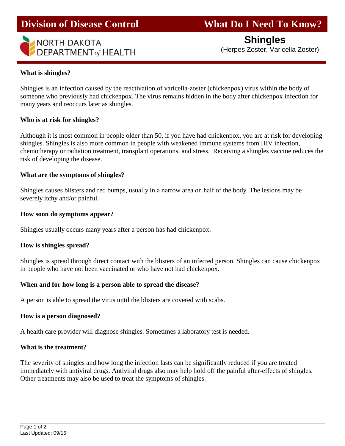# **Division of Disease Control What Do I Need To Know?**



 **Shingles**(Herpes Zoster, Varicella Zoster)

#### **What is shingles?**

Ī

Shingles is an infection caused by the reactivation of varicella-zoster (chickenpox) virus within the body of someone who previously had chickenpox. The virus remains hidden in the body after chickenpox infection for many years and reoccurs later as shingles.

#### **Who is at risk for shingles?**

Although it is most common in people older than 50, if you have had chickenpox, you are at risk for developing shingles. Shingles is also more common in people with weakened immune systems from HIV infection, chemotherapy or radiation treatment, transplant operations, and stress. Receiving a shingles vaccine reduces the risk of developing the disease.

#### **What are the symptoms of shingles?**

Shingles causes blisters and red bumps, usually in a narrow area on half of the body. The lesions may be severely itchy and/or painful.

#### **How soon do symptoms appear?**

Shingles usually occurs many years after a person has had chickenpox.

#### **How is shingles spread?**

Shingles is spread through direct contact with the blisters of an infected person. Shingles can cause chickenpox in people who have not been vaccinated or who have not had chickenpox.

### **When and for how long is a person able to spread the disease?**

A person is able to spread the virus until the blisters are covered with scabs.

### **How is a person diagnosed?**

A health care provider will diagnose shingles. Sometimes a laboratory test is needed.

#### **What is the treatment?**

The severity of shingles and how long the infection lasts can be significantly reduced if you are treated immediately with antiviral drugs. Antiviral drugs also may help hold off the painful after-effects of shingles. Other treatments may also be used to treat the symptoms of shingles.